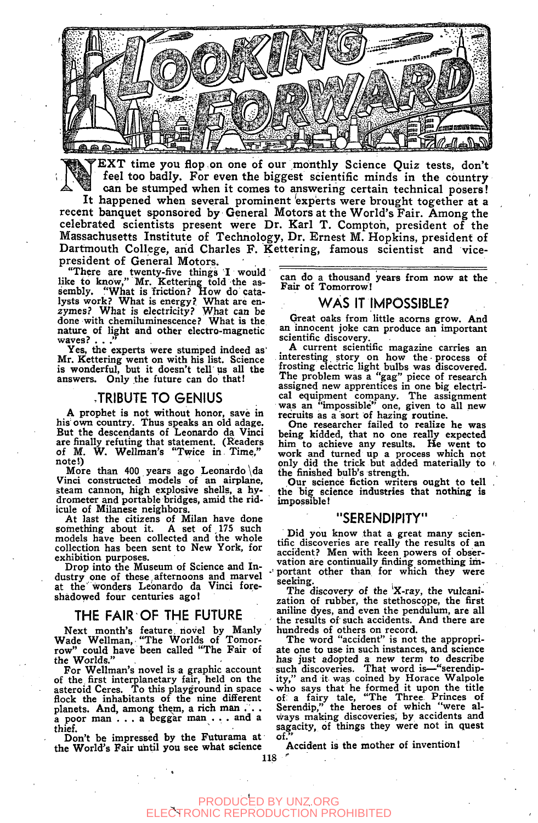

'EXT time you flop on one o£ our monthly Science Quiz tests, don't feel too badly. For even the biggest scientific minds in the country can be stumped when it comes to answering certain technical posers! It happened when several prominent 'experts were brought together at a

recent banquet sponsored by General Motors at the World's Fair. Among the celebrated scientists present were Dr. Karl T. Compton, president of the Massachusetts Institute of Technology, Dr. Ernest M. Hopkins, president of Dartmouth College, arid Charles F. Kettering, famous scientist and vicepresident of General Motors.

"There are twenty-five things I would like to know," Mr. Kettering told the assembly. "What is friction? How do catalysts work? What is energy? What are enzymes? What is electricity? What can be done with chemiluminescence? What is the nature of light and other electro-magnetic waves?

Yes, the experts were stumped indeed as' Mr. Kettering went on with his list. Science is wonderful, but it doesn't tell us all the answers. Only the future can do that!

#### JRIBUTE TO GENIUS

A prophet is not without honor, save in his' own country. Thus speaks an old adage. But the descendants of Leonardo da Vinci are finally refuting that statement. (Readers of M. W. Wellman's "Twice in Time," note!) , and the set of the set of the set of the set of the set of the set of the set of the set of the set o

More than 400 years ago Leonardo \da Vinci constructed models of an airplane, steam cannon, high explosive shells, a hydrometer and portable bridges, amid the ridicule of Milanese neighbors.

At last the citizens of Milan have done<br>something about it. A set of 175 such A set of,  $175$  such models have been collected and the whole collection has been sent to New York, for exhibition purposes.

Drop into the Museum of Science and Industry one of these,afternoons and marvel at the wonders Leonardo da Vinci foreshadowed four centuries ago!

#### THE FAIR OF THE FUTURE

Next month's feature, novel by Manly Wade Wellman, "The Worlds of Tomorrow" could have been called "The Fair of the Worlds."

For Wellman's novel is a graphic account of the, first interplanetary fair, held on the asteroid Ceres. To this playground in space • flock the inhabitants of the nine different planets. And, among them, a rich man ... a poor man .. . a beggar man . . . and a thief.

Don't be impressed by the Futurama at the World's Fair until you see what science

can do a thousand years from now at the Fair of Tomorrow!

#### WAS IT IMPOSSIBLE?

Great oaks from little acorns grow. And an innocent joke can produce an important scientific discovery.

A current scientific magazine carries an interesting story on how the • process of frosting electric light bulbs was discovered. The problem was a "gag" piece of research assigned new apprentices in one big electrical equipment company. The assignment was an "impossible" one, given to all new recruits as a sort of hazing routine.

One researcher failed to realize he was being kidded, that no one really expected him to achieve any results. He went to work and turned up a process which not only did the trick but added materially to the finished bulb's strength.

,Our science fiction writers ought to tell the big science industries that nothing is impossible I

#### "SERENDIPITY"

Did you know that a great many scientific discoveries are really the results of an accident? Men with keen powers of observation are continually finding something im portant other than for which they were seeking.

The discovery of the 'X-ray, the vulcanization of rubber, the stethoscope, the first aniline dyes, and even the pendulum, are all the results of' such accidents. And there are hundreds of others on record.

The word "accident" is not the appropriate one to use in such instances, and science has just adopted a new term to describe such discoveries. That word is—"serendipity," and it was coined by Horace Walpole . who says that he formed it upon the title of: a fairy tale, "The Three. Princes of Serendip," the heroes of which "were always making discoveries, by accidents and sagacity, of things they were not in quest  $\alpha$ f.

Accident is the mother of invention I

#### PRODUCED BY UNZ.ORG<br>TRONIC REPRODUCTION PRO RODUCTION PROHIBITED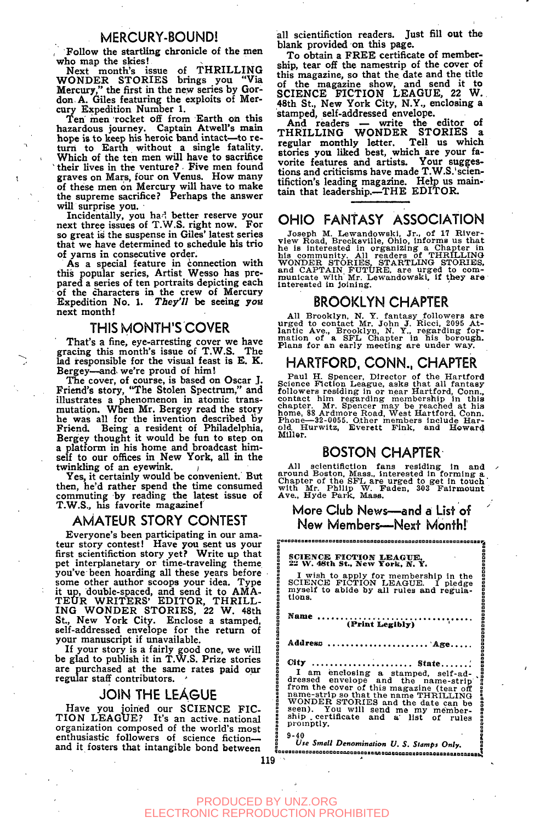### MERCURY-BOUND!

**, Follow the startling chronicle of the men who map the skies!** 

**Next month's issue of THRILLING WONDE R STORIES brings you "Via Mercury," the first in the new series by Gordon A. Giles featuring the exploits of Mercury Expedition Number 1.** 

Ten men rocket off from Earth on this **hazardous journey. Captain Atwell's main hope is to keep his heroic band intact—to return to Earth without a single fatality. Which of the ten men will have to sacrifice**  `their lives in the venture? Five men found **graves on Mars, four on Venus. How many of these men on Mercury will have to make the supreme sacrifice? Perhaps the answer will surprise you.** 

**Incidentally, you ha-i better reserve your next three issues of T.W.S. right now. For so great is the suspense in Giles' latest series that we have determined to schedule his trio of yams in consecutive order.** 

**As a special feature in connection with this popular series, Artist Wesso has prepared a series of ten portraits depicting each of the characters in the crew of Mercury Expedition No. 1.** *They'll* **be seeing yoa next month!** 

#### THIS MONTH'S COVER

**That's a fine, eye-arresting cover we have gracing this month's issue of T.W.S. The k d responsible for the visual feast is E. K. Bergey—and. we're proud of him!** 

**The cover, of course, is based on Oscar J. Friend's story, "The Stolen Spectrum," and illustrates a phenomenon in atomic transmutation. When Mr. Bergey read the story he was all for the invention described liy Friend. Being a resident of Philadelphia, Bergey thought it would be fun to step on a platform in his home and broadcast himself to our offices in New York, all in the**  twinkling of an eyewink.

**Yes, it certainly would be convenient. But then, he'd rather spend the time consumed commuting by reading the latest issue of T.W.S., his favorite magazine!** 

### AMATEUR STORY CONTEST

**Everyone's been participating in our amateur story contest! Have you sent us your first scientifiction story yet? Write up that pet interplanetary or time-traveling theme you've been hoarding all these years before some other author scoops your idea. Type it up, double-spaced, and send it to AMA-TEU R WRITERS ' EDITOR, THRILL-ING WONDER STORIES, 22 W. 48th** St., New York City. Enclose a stamped, **self-addressed envelope for the return of your manuscript if unavailable.** 

**If your story is a fairly good one, we will be glad to publish it in 'T.W.S. Prize stories are purchased at the same rates paid our regular staff contributors. '** 

#### JOIN THE LEAGUE

**Have you joined our SCIENCE FIC-TION LEAGUE? It's an active, national organization composed of the world's most enthusiastic followers of science fiction and it fosters that intangible bond between**  **all scientifiction readers. Just fill out the blank provided on this page.** 

**To obtain a FREE certificate of membership, tear off the namestrip of the cover of this magazine, so that the date and the title of the magazine show, and send it to SCIENCE FICTION LEAGUE, 22 W. 48th St., New York City, N.Y., enclosing a stamped, self-addressed envelope.** 

**And readers — write the editor of THRILLING WONDER STORIES a regular monthly letter. Tell us which stories you liked best, which are your favorite features and artists. Your suggestions and criticisms have made T.W.S.'scientifiction's leading magazine. Help us maintain that leadership.—THE EDITOR.** 

## OHIO FANTASY ASSOCIATION

Joseph M. Lewandowski, Jr., of 17 River-<br>view Road, Brecksville, Ohio, informs us that<br>he is interested in organizing a Chapter in<br>his community. All readers of THRILLING<br>WONDER STORIES, STARTLING STORIES,<br>and CAPTAIN FUTU **interested In Joining.** 

#### BROOKLYN CHAPTER

All Brooklyn, N. Y. fantasy followers are<br>urged to contact Mr. John J. Ricci, 2095 At-<br>lantic Ave., Brooklyn, N. Y., regarding for-<br>mation of a SFL Chapter in his borough.<br>Plans for an early meeting are under way.

#### HARTFORD. CONN.. CHAPTER

Paul H. Spencer, Director of the Hartford Science Fiction League, asks that all fantasy followers residing in or near Hartford, Conn., contact him regarding membership in this chapter. Mr. Spencer may be reached at his hom

#### BOSTON CHAPTER

All scientifiction fans residing in and<br>around Boston, Mass., interested in forming a Chapter of the SFL are urged to get in touch<br>with Mr. Philip W. Faden, 303 Fairmount<br>Ave., Hyde Park, Mass.

More Club News—and a List of New Members—Next Month!

18886*0aa0a*888888888888888

|                                                                          | SCIENCE FICTION LEAGUE.<br>22 W. 48th St., New York, N. Y.                                                                                                                                                                                                                                                                    |  |
|--------------------------------------------------------------------------|-------------------------------------------------------------------------------------------------------------------------------------------------------------------------------------------------------------------------------------------------------------------------------------------------------------------------------|--|
|                                                                          | I wish to apply for membership in the<br>SCIENCE FICTION LEAGUE. I pledge<br>myself to abide by all rules and regula-<br>tions.                                                                                                                                                                                               |  |
|                                                                          | Name<br>(Print Legibly)                                                                                                                                                                                                                                                                                                       |  |
|                                                                          | Address                                                                                                                                                                                                                                                                                                                       |  |
| notado a casa de a concelerado da casa da casa a casa da casa da casa da | State<br>City<br>I am enclosing a stamped, self-ad-<br>dressed envelope and the name-strip<br>from the cover of this magazine (tear off<br>name-strip so that the name THRILLING<br>WONDER STORIES and the date can be<br>seen). You will send me my member-<br>ship certificate and a list of rules<br>promptly.<br>$9 - 40$ |  |
|                                                                          | Use Small Denomination U. S. Stamps Only.                                                                                                                                                                                                                                                                                     |  |

#### PRODUCED BY UNZ.ORG ELECTRONIC REPRODUCTION PROHIBITED